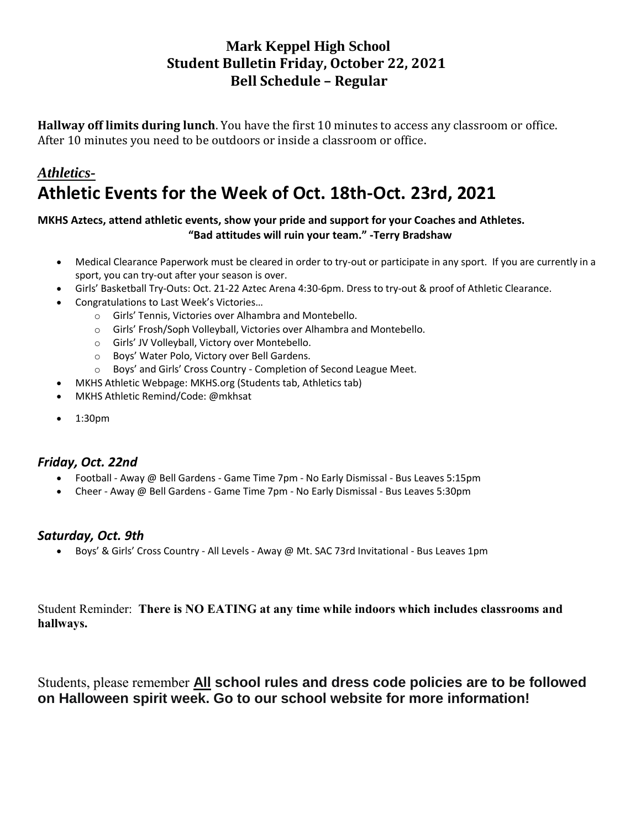# **Mark Keppel High School Student Bulletin Friday, October 22, 2021 Bell Schedule – Regular**

**Hallway off limits during lunch**. You have the first 10 minutes to access any classroom or office. After 10 minutes you need to be outdoors or inside a classroom or office.

# *Athletics-***Athletic Events for the Week of Oct. 18th-Oct. 23rd, 2021**

#### **MKHS Aztecs, attend athletic events, show your pride and support for your Coaches and Athletes. "Bad attitudes will ruin your team." -Terry Bradshaw**

- Medical Clearance Paperwork must be cleared in order to try-out or participate in any sport. If you are currently in a sport, you can try-out after your season is over.
- Girls' Basketball Try-Outs: Oct. 21-22 Aztec Arena 4:30-6pm. Dress to try-out & proof of Athletic Clearance.
- Congratulations to Last Week's Victories…
	- o Girls' Tennis, Victories over Alhambra and Montebello.
	- o Girls' Frosh/Soph Volleyball, Victories over Alhambra and Montebello.
	- o Girls' JV Volleyball, Victory over Montebello.
	- o Boys' Water Polo, Victory over Bell Gardens.
	- o Boys' and Girls' Cross Country Completion of Second League Meet.
- MKHS Athletic Webpage: MKHS.org (Students tab, Athletics tab)
- MKHS Athletic Remind/Code: @mkhsat
- 1:30pm

## *Friday, Oct. 22nd*

- Football Away @ Bell Gardens Game Time 7pm No Early Dismissal Bus Leaves 5:15pm
- Cheer Away @ Bell Gardens Game Time 7pm No Early Dismissal Bus Leaves 5:30pm

## *Saturday, Oct. 9th*

• Boys' & Girls' Cross Country - All Levels - Away @ Mt. SAC 73rd Invitational - Bus Leaves 1pm

Student Reminder: **There is NO EATING at any time while indoors which includes classrooms and hallways.**

Students, please remember **All school rules and dress code policies are to be followed on Halloween spirit week. Go to our school website for more information!**